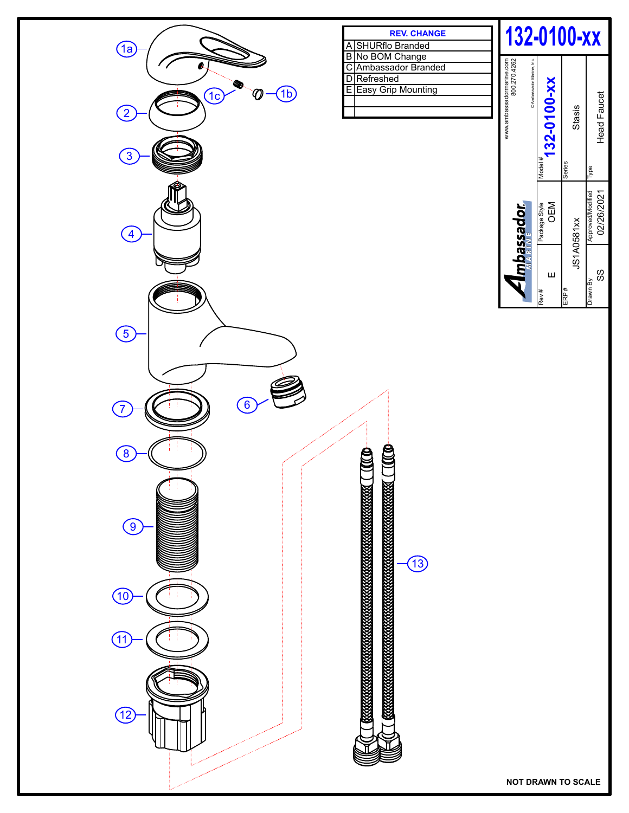